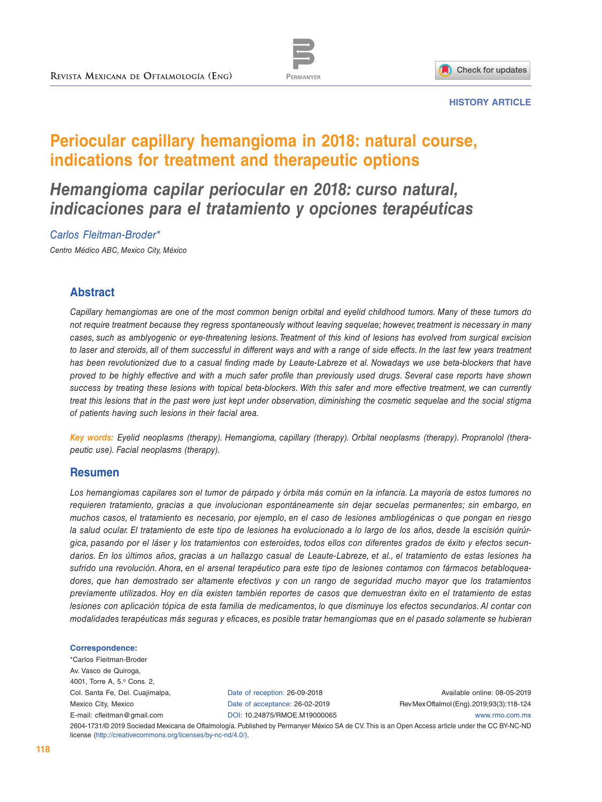



#### **HISTORY ARTICLE**

# **Periocular capillary hemangioma in 2018: natural course, indications for treatment and therapeutic options**

# *Hemangioma capilar periocular en 2018: curso natural, indicaciones para el tratamiento y opciones terapéuticas*

#### *Carlos Fleitman-Broder\**

*Centro Médico ABC, Mexico City, México*

# **Abstract**

*Capillary hemangiomas are one of the most common benign orbital and eyelid childhood tumors. Many of these tumors do not require treatment because they regress spontaneously without leaving sequelae; however, treatment is necessary in many cases, such as amblyogenic or eye-threatening lesions. Treatment of this kind of lesions has evolved from surgical excision*  to laser and steroids, all of them successful in different ways and with a range of side effects. In the last few years treatment has been revolutionized due to a casual finding made by Leaute-Labreze et al. Nowadays we use beta-blockers that have *proved to be highly effective and with a much safer profile than previously used drugs. Several case reports have shown success by treating these lesions with topical beta-blockers. With this safer and more effective treatment, we can currently treat this lesions that in the past were just kept under observation, diminishing the cosmetic sequelae and the social stigma of patients having such lesions in their facial area.*

*Key words: Eyelid neoplasms (therapy). Hemangioma, capillary (therapy). Orbital neoplasms (therapy). Propranolol (therapeutic use). Facial neoplasms (therapy).*

#### **Resumen**

*Los hemangiomas capilares son el tumor de párpado y órbita más común en la infancia. La mayoría de estos tumores no requieren tratamiento, gracias a que involucionan espontáneamente sin dejar secuelas permanentes; sin embargo, en muchos casos, el tratamiento es necesario, por ejemplo, en el caso de lesiones ambliogénicas o que pongan en riesgo la salud ocular. El tratamiento de este tipo de lesiones ha evolucionado a lo largo de los años, desde la escisión quirúrgica, pasando por el láser y los tratamientos con esteroides, todos ellos con diferentes grados de éxito y efectos secundarios. En los últimos años, gracias a un hallazgo casual de Leaute-Labreze, et al., el tratamiento de estas lesiones ha sufrido una revolución. Ahora, en el arsenal terapéutico para este tipo de lesiones contamos con fármacos betabloqueadores, que han demostrado ser altamente efectivos y con un rango de seguridad mucho mayor que los tratamientos previamente utilizados. Hoy en día existen también reportes de casos que demuestran éxito en el tratamiento de estas lesiones con aplicación tópica de esta familia de medicamentos, lo que disminuye los efectos secundarios. Al contar con modalidades terapéuticas más seguras y eficaces, es posible tratar hemangiomas que en el pasado solamente se hubieran* 

#### **Correspondence:**

\*Carlos Fleitman-Broder Av. Vasco de Quiroga, 4001, Torre A, 5.º Cons. 2, Col. Santa Fe, Del. Cuajimalpa, Mexico City, Mexico [E-mail: cfleitman@gmail.com](mailto:cfleitman%40gmail.com?subject=)

Date of reception: 26-09-2018 Date of acceptance: 26-02-2019 [DOI: 10.24875/RMOE.M19000065](http://dx.doi.org/ 10.24875/RMOE.M19000065)

Available online: 08-05-2019 Rev Mex Oftalmol (Eng). 2019;93(3):118-124 [www.rmo.com.mx](http://www.rmo.com.mx)

2604-1731/© 2019 Sociedad Mexicana de Oftalmología. Published by Permanyer México SA de CV. This is an Open Access article under the CC BY-NC-ND license (<http://creativecommons.org/licenses/by-nc-nd/4.0/>).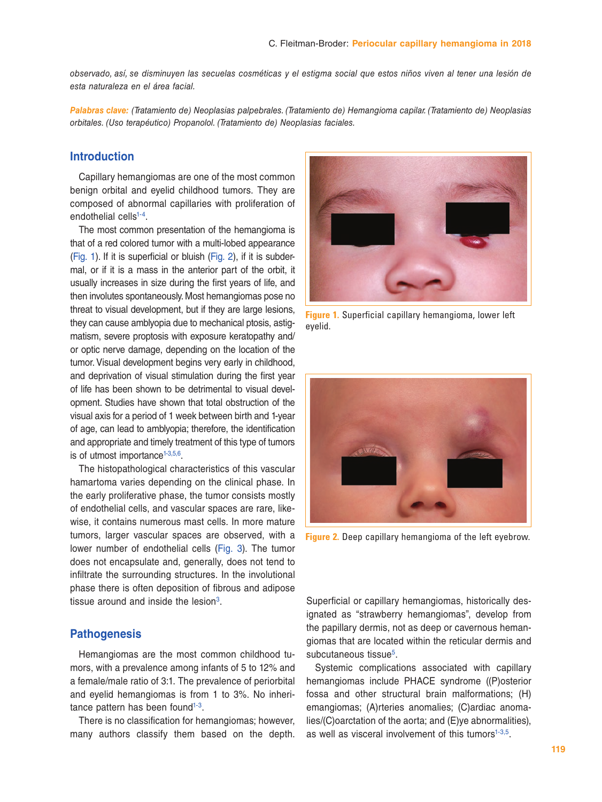*observado, así, se disminuyen las secuelas cosméticas y el estigma social que estos niños viven al tener una lesión de esta naturaleza en el área facial.*

*Palabras clave: (Tratamiento de) Neoplasias palpebrales. (Tratamiento de) Hemangioma capilar. (Tratamiento de) Neoplasias orbitales. (Uso terapéutico) Propanolol. (Tratamiento de) Neoplasias faciales.*

# **Introduction**

Capillary hemangiomas are one of the most common benign orbital and eyelid childhood tumors. They are composed of abnormal capillaries with proliferation of endothelial cells<sup>1-4</sup>.

The most common presentation of the hemangioma is that of a red colored tumor with a multi-lobed appearance (Fig. 1). If it is superficial or bluish (Fig. 2), if it is subdermal, or if it is a mass in the anterior part of the orbit, it usually increases in size during the first years of life, and then involutes spontaneously. Most hemangiomas pose no threat to visual development, but if they are large lesions, they can cause amblyopia due to mechanical ptosis, astigmatism, severe proptosis with exposure keratopathy and/ or optic nerve damage, depending on the location of the tumor. Visual development begins very early in childhood, and deprivation of visual stimulation during the first year of life has been shown to be detrimental to visual development. Studies have shown that total obstruction of the visual axis for a period of 1 week between birth and 1-year of age, can lead to amblyopia; therefore, the identification and appropriate and timely treatment of this type of tumors is of utmost importance $1-3,5,6$  $1-3,5,6$  $1-3,5,6$  $1-3,5,6$  $1-3,5,6$ .

The histopathological characteristics of this vascular hamartoma varies depending on the clinical phase. In the early proliferative phase, the tumor consists mostly of endothelial cells, and vascular spaces are rare, likewise, it contains numerous mast cells. In more mature tumors, larger vascular spaces are observed, with a lower number of endothelial cells ([Fig. 3\)](#page-2-0). The tumor does not encapsulate and, generally, does not tend to infiltrate the surrounding structures. In the involutional phase there is often deposition of fibrous and adipose tissue around and inside the lesion $3$ .

#### **Pathogenesis**

Hemangiomas are the most common childhood tumors, with a prevalence among infants of 5 to 12% and a female/male ratio of 3:1. The prevalence of periorbital and eyelid hemangiomas is from 1 to 3%. No inheritance pattern has been found<sup>1-3</sup>.

There is no classification for hemangiomas; however, many authors classify them based on the depth.



**Figure 1.** Superficial capillary hemangioma, lower left eyelid.



**Figure 2.** Deep capillary hemangioma of the left eyebrow.

Superficial or capillary hemangiomas, historically designated as "strawberry hemangiomas", develop from the papillary dermis, not as deep or cavernous hemangiomas that are located within the reticular dermis and subcutaneous tissue<sup>[5](#page-5-3)</sup>.

Systemic complications associated with capillary hemangiomas include PHACE syndrome ((P)osterior fossa and other structural brain malformations; (H) emangiomas; (A)rteries anomalies; (C)ardiac anomalies/(C)oarctation of the aorta; and (E)ye abnormalities), as well as visceral involvement of this tumors $1-3,5$  $1-3,5$  $1-3,5$ .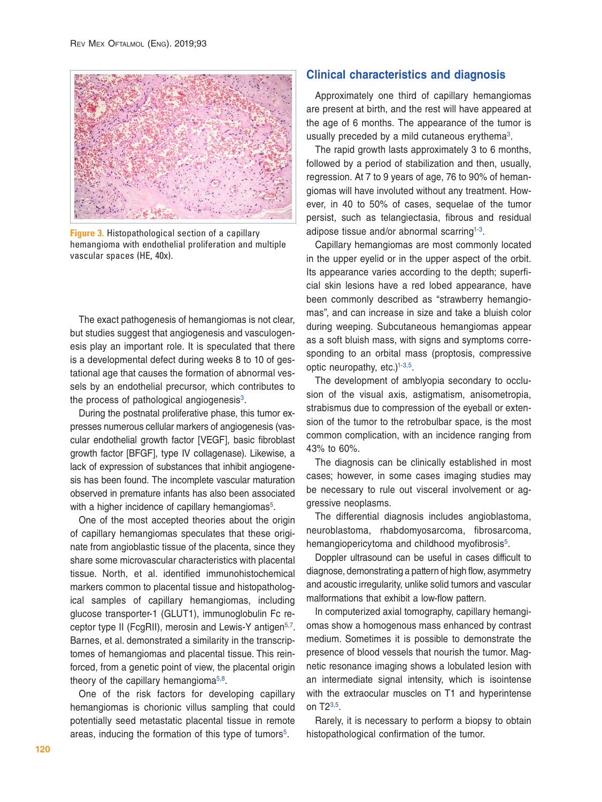<span id="page-2-0"></span>

**Figure 3.** Histopathological section of a capillary hemangioma with endothelial proliferation and multiple vascular spaces (HE, 40x).

The exact pathogenesis of hemangiomas is not clear, but studies suggest that angiogenesis and vasculogenesis play an important role. It is speculated that there is a developmental defect during weeks 8 to 10 of gestational age that causes the formation of abnormal vessels by an endothelial precursor, which contributes to the process of pathological angiogenesis $3$ .

During the postnatal proliferative phase, this tumor expresses numerous cellular markers of angiogenesis (vascular endothelial growth factor [VEGF], basic fibroblast growth factor [BFGF], type IV collagenase). Likewise, a lack of expression of substances that inhibit angiogenesis has been found. The incomplete vascular maturation observed in premature infants has also been associated with a higher incidence of capillary hemangiomas<sup>5</sup>.

One of the most accepted theories about the origin of capillary hemangiomas speculates that these originate from angioblastic tissue of the placenta, since they share some microvascular characteristics with placental tissue. North, et al. identified immunohistochemical markers common to placental tissue and histopathological samples of capillary hemangiomas, including glucose transporter-1 (GLUT1), immunoglobulin Fc re-ceptor type II (FcgRII), merosin and Lewis-Y antigen<sup>[5,](#page-5-3)[7](#page-5-5)</sup>. Barnes, et al. demonstrated a similarity in the transcriptomes of hemangiomas and placental tissue. This reinforced, from a genetic point of view, the placental origin theory of the capillary hemangioma $5,8$ .

One of the risk factors for developing capillary hemangiomas is chorionic villus sampling that could potentially seed metastatic placental tissue in remote areas, inducing the formation of this type of tumors<sup>5</sup>.

# **Clinical characteristics and diagnosis**

Approximately one third of capillary hemangiomas are present at birth, and the rest will have appeared at the age of 6 months. The appearance of the tumor is usually preceded by a mild cutaneous erythema $3$ .

The rapid growth lasts approximately 3 to 6 months, followed by a period of stabilization and then, usually, regression. At 7 to 9 years of age, 76 to 90% of hemangiomas will have involuted without any treatment. However, in 40 to 50% of cases, sequelae of the tumor persist, such as telangiectasia, fibrous and residual adipose tissue and/or abnormal scarring<sup>[1-](#page-5-0)3</sup>.

Capillary hemangiomas are most commonly located in the upper eyelid or in the upper aspect of the orbit. Its appearance varies according to the depth; superficial skin lesions have a red lobed appearance, have been commonly described as "strawberry hemangiomas", and can increase in size and take a bluish color during weeping. Subcutaneous hemangiomas appear as a soft bluish mass, with signs and symptoms corresponding to an orbital mass (proptosis, compressive optic neuropathy, etc.) $1-3,5$  $1-3,5$  $1-3,5$  $1-3,5$ .

The development of amblyopia secondary to occlusion of the visual axis, astigmatism, anisometropia, strabismus due to compression of the eyeball or extension of the tumor to the retrobulbar space, is the most common complication, with an incidence ranging from 43% to 60%.

The diagnosis can be clinically established in most cases; however, in some cases imaging studies may be necessary to rule out visceral involvement or aggressive neoplasms.

The differential diagnosis includes angioblastoma, neuroblastoma, rhabdomyosarcoma, fibrosarcoma, hemangiopericytoma and childhood myofibrosis<sup>5</sup>.

Doppler ultrasound can be useful in cases difficult to diagnose, demonstrating a pattern of high flow, asymmetry and acoustic irregularity, unlike solid tumors and vascular malformations that exhibit a low-flow pattern.

In computerized axial tomography, capillary hemangiomas show a homogenous mass enhanced by contrast medium. Sometimes it is possible to demonstrate the presence of blood vessels that nourish the tumor. Magnetic resonance imaging shows a lobulated lesion with an intermediate signal intensity, which is isointense with the extraocular muscles on T1 and hyperintense on T2[3](#page-5-2),[5](#page-5-3).

Rarely, it is necessary to perform a biopsy to obtain histopathological confirmation of the tumor.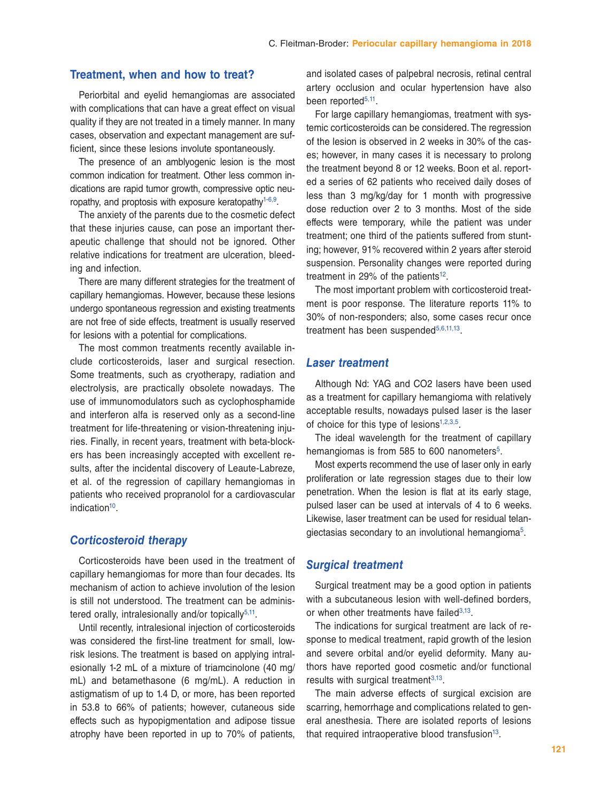### **Treatment, when and how to treat?**

Periorbital and eyelid hemangiomas are associated with complications that can have a great effect on visual quality if they are not treated in a timely manner. In many cases, observation and expectant management are sufficient, since these lesions involute spontaneously.

The presence of an amblyogenic lesion is the most common indication for treatment. Other less common indications are rapid tumor growth, compressive optic neu-ropathy, and proptosis with exposure keratopathy<sup>1-[6,](#page-5-4)9</sup>.

The anxiety of the parents due to the cosmetic defect that these injuries cause, can pose an important therapeutic challenge that should not be ignored. Other relative indications for treatment are ulceration, bleeding and infection.

There are many different strategies for the treatment of capillary hemangiomas. However, because these lesions undergo spontaneous regression and existing treatments are not free of side effects, treatment is usually reserved for lesions with a potential for complications.

The most common treatments recently available include corticosteroids, laser and surgical resection. Some treatments, such as cryotherapy, radiation and electrolysis, are practically obsolete nowadays. The use of immunomodulators such as cyclophosphamide and interferon alfa is reserved only as a second-line treatment for life-threatening or vision-threatening injuries. Finally, in recent years, treatment with beta-blockers has been increasingly accepted with excellent results, after the incidental discovery of Leaute-Labreze, et al. of the regression of capillary hemangiomas in patients who received propranolol for a cardiovascular indication $10$ .

# *Corticosteroid therapy*

Corticosteroids have been used in the treatment of capillary hemangiomas for more than four decades. Its mechanism of action to achieve involution of the lesion is still not understood. The treatment can be adminis-tered orally, intralesionally and/or topically<sup>[5](#page-5-3)[,11](#page-6-3)</sup>.

Until recently, intralesional injection of corticosteroids was considered the first-line treatment for small, lowrisk lesions. The treatment is based on applying intralesionally 1-2 mL of a mixture of triamcinolone (40 mg/ mL) and betamethasone (6 mg/mL). A reduction in astigmatism of up to 1.4 D, or more, has been reported in 53.8 to 66% of patients; however, cutaneous side effects such as hypopigmentation and adipose tissue atrophy have been reported in up to 70% of patients,

and isolated cases of palpebral necrosis, retinal central artery occlusion and ocular hypertension have also been reported<sup>[5,](#page-5-3)11</sup>.

For large capillary hemangiomas, treatment with systemic corticosteroids can be considered. The regression of the lesion is observed in 2 weeks in 30% of the cases; however, in many cases it is necessary to prolong the treatment beyond 8 or 12 weeks. Boon et al. reported a series of 62 patients who received daily doses of less than 3 mg/kg/day for 1 month with progressive dose reduction over 2 to 3 months. Most of the side effects were temporary, while the patient was under treatment; one third of the patients suffered from stunting; however, 91% recovered within 2 years after steroid suspension. Personality changes were reported during treatment in 29% of the patients<sup>[12](#page-6-4)</sup>.

The most important problem with corticosteroid treatment is poor response. The literature reports 11% to 30% of non-responders; also, some cases recur once treatment has been suspended<sup>[5,](#page-5-3)[6](#page-5-4)[,11](#page-6-3),[13](#page-6-5)</sup>.

#### *Laser treatment*

Although Nd: YAG and CO2 lasers have been used as a treatment for capillary hemangioma with relatively acceptable results, nowadays pulsed laser is the laser of choice for this type of lesions<sup>1,[2](#page-5-6),[3,](#page-5-2)5</sup>.

The ideal wavelength for the treatment of capillary hemangiomas is from 585 to 600 nanometers<sup>5</sup>.

Most experts recommend the use of laser only in early proliferation or late regression stages due to their low penetration. When the lesion is flat at its early stage, pulsed laser can be used at intervals of 4 to 6 weeks. Likewise, laser treatment can be used for residual telan-giectasias secondary to an involutional hemangioma<sup>[5](#page-5-3)</sup>.

# *Surgical treatment*

Surgical treatment may be a good option in patients with a subcutaneous lesion with well-defined borders, or when other treatments have failed $3,13$  $3,13$ .

The indications for surgical treatment are lack of response to medical treatment, rapid growth of the lesion and severe orbital and/or eyelid deformity. Many authors have reported good cosmetic and/or functional results with surgical treatment $3,13$  $3,13$ .

The main adverse effects of surgical excision are scarring, hemorrhage and complications related to general anesthesia. There are isolated reports of lesions that required intraoperative blood transfusion $13$ .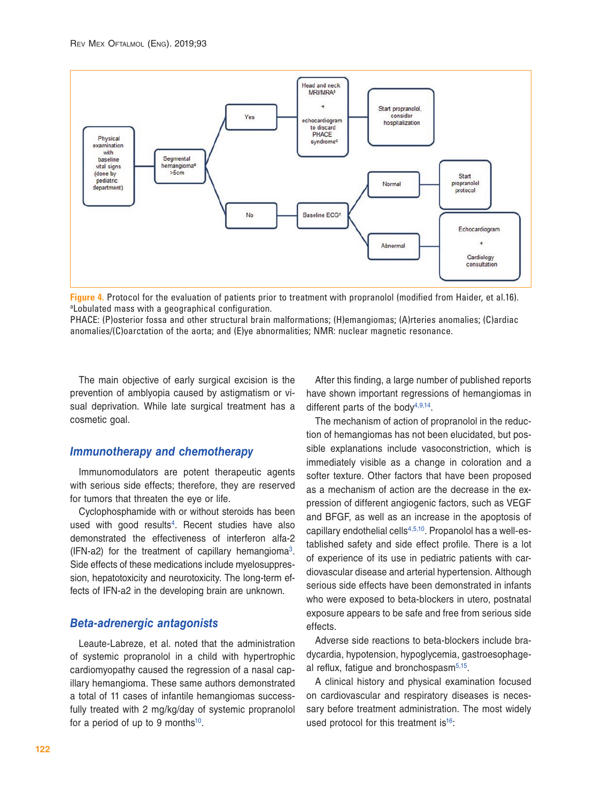<span id="page-4-0"></span>

**Figure 4.** Protocol for the evaluation of patients prior to treatment with propranolol (modified from Haider, et al.16). aLobulated mass with a geographical configuration.

PHACE: (P)osterior fossa and other structural brain malformations; (H)emangiomas; (A)rteries anomalies; (C)ardiac anomalies/(C)oarctation of the aorta; and (E)ye abnormalities; NMR: nuclear magnetic resonance.

The main objective of early surgical excision is the prevention of amblyopia caused by astigmatism or visual deprivation. While late surgical treatment has a cosmetic goal.

### *Immunotherapy and chemotherapy*

Immunomodulators are potent therapeutic agents with serious side effects; therefore, they are reserved for tumors that threaten the eye or life.

Cyclophosphamide with or without steroids has been used with good results<sup>4</sup>. Recent studies have also demonstrated the effectiveness of interferon alfa-2 (IFN-a2) for the treatment of capillary hemangioma<sup>3</sup>. Side effects of these medications include myelosuppression, hepatotoxicity and neurotoxicity. The long-term effects of IFN-a2 in the developing brain are unknown.

#### *Beta-adrenergic antagonists*

Leaute-Labreze, et al. noted that the administration of systemic propranolol in a child with hypertrophic cardiomyopathy caused the regression of a nasal capillary hemangioma. These same authors demonstrated a total of 11 cases of infantile hemangiomas successfully treated with 2 mg/kg/day of systemic propranolol for a period of up to 9 months $10$ .

After this finding, a large number of published reports have shown important regressions of hemangiomas in different parts of the body $4,9,14$  $4,9,14$  $4,9,14$ .

The mechanism of action of propranolol in the reduction of hemangiomas has not been elucidated, but possible explanations include vasoconstriction, which is immediately visible as a change in coloration and a softer texture. Other factors that have been proposed as a mechanism of action are the decrease in the expression of different angiogenic factors, such as VEGF and BFGF, as well as an increase in the apoptosis of capillary endothelial cells<sup>[4](#page-5-1),[5](#page-5-3)[,10](#page-6-2)</sup>. Propanolol has a well-established safety and side effect profile. There is a lot of experience of its use in pediatric patients with cardiovascular disease and arterial hypertension. Although serious side effects have been demonstrated in infants who were exposed to beta-blockers in utero, postnatal exposure appears to be safe and free from serious side effects.

Adverse side reactions to beta-blockers include bradycardia, hypotension, hypoglycemia, gastroesophage-al reflux, fatigue and bronchospasm<sup>[5](#page-5-3)[,15](#page-6-7)</sup>.

A clinical history and physical examination focused on cardiovascular and respiratory diseases is necessary before treatment administration. The most widely used protocol for this treatment is<sup>16</sup>: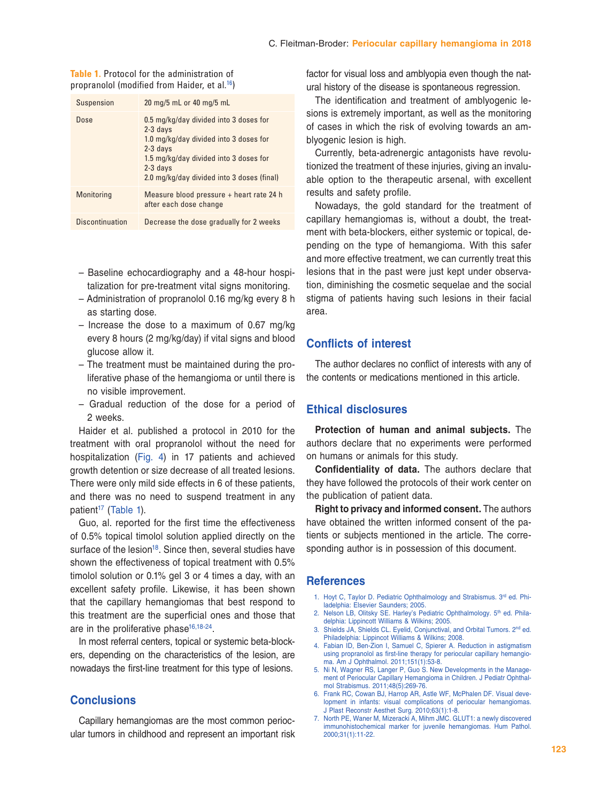| <b>Table 1.</b> Protocol for the administration of        |  |
|-----------------------------------------------------------|--|
| propranolol (modified from Haider, et al. <sup>16</sup> ) |  |

| <b>Suspension</b>      | 20 mg/5 mL or 40 mg/5 mL                                                                                                                                                                                           |
|------------------------|--------------------------------------------------------------------------------------------------------------------------------------------------------------------------------------------------------------------|
| Dose                   | 0.5 mg/kg/day divided into 3 doses for<br>$2-3$ days<br>1.0 mg/kg/day divided into 3 doses for<br>$2-3$ days<br>1.5 mg/kg/day divided into 3 doses for<br>$2-3$ days<br>2.0 mg/kg/day divided into 3 doses (final) |
| Monitoring             | Measure blood pressure + heart rate 24 h<br>after each dose change                                                                                                                                                 |
| <b>Discontinuation</b> | Decrease the dose gradually for 2 weeks                                                                                                                                                                            |

- Baseline echocardiography and a 48-hour hospitalization for pre-treatment vital signs monitoring.
- Administration of propranolol 0.16 mg/kg every 8 h as starting dose.
- Increase the dose to a maximum of 0.67 mg/kg every 8 hours (2 mg/kg/day) if vital signs and blood glucose allow it.
- The treatment must be maintained during the proliferative phase of the hemangioma or until there is no visible improvement.
- Gradual reduction of the dose for a period of 2 weeks.

Haider et al. published a protocol in 2010 for the treatment with oral propranolol without the need for hospitalization [\(Fig. 4\)](#page-4-0) in 17 patients and achieved growth detention or size decrease of all treated lesions. There were only mild side effects in 6 of these patients, and there was no need to suspend treatment in any patient<sup>[17](#page-6-9)</sup> (Table 1).

Guo, al. reported for the first time the effectiveness of 0.5% topical timolol solution applied directly on the surface of the lesion<sup>18</sup>. Since then, several studies have shown the effectiveness of topical treatment with 0.5% timolol solution or 0.1% gel 3 or 4 times a day, with an excellent safety profile. Likewise, it has been shown that the capillary hemangiomas that best respond to this treatment are the superficial ones and those that are in the proliferative phase $16,18-24$  $16,18-24$  $16,18-24$ .

In most referral centers, topical or systemic beta-blockers, depending on the characteristics of the lesion, are nowadays the first-line treatment for this type of lesions.

# **Conclusions**

Capillary hemangiomas are the most common periocular tumors in childhood and represent an important risk factor for visual loss and amblyopia even though the natural history of the disease is spontaneous regression.

The identification and treatment of amblyogenic lesions is extremely important, as well as the monitoring of cases in which the risk of evolving towards an amblyogenic lesion is high.

Currently, beta-adrenergic antagonists have revolutionized the treatment of these injuries, giving an invaluable option to the therapeutic arsenal, with excellent results and safety profile.

Nowadays, the gold standard for the treatment of capillary hemangiomas is, without a doubt, the treatment with beta-blockers, either systemic or topical, depending on the type of hemangioma. With this safer and more effective treatment, we can currently treat this lesions that in the past were just kept under observation, diminishing the cosmetic sequelae and the social stigma of patients having such lesions in their facial area.

#### **Conflicts of interest**

The author declares no conflict of interests with any of the contents or medications mentioned in this article.

# **Ethical disclosures**

**Protection of human and animal subjects.** The authors declare that no experiments were performed on humans or animals for this study.

**Confidentiality of data.** The authors declare that they have followed the protocols of their work center on the publication of patient data.

**Right to privacy and informed consent.** The authors have obtained the written informed consent of the patients or subjects mentioned in the article. The corresponding author is in possession of this document.

### **References**

- <span id="page-5-0"></span>1. Hoyt C, Taylor D. Pediatric Ophthalmology and Strabismus. 3rd ed. Philadelphia: Elsevier Saunders; 2005.
- <span id="page-5-6"></span>2. Nelson LB, Olitsky SE. Harley's Pediatric Ophthalmology. 5<sup>th</sup> ed. Philadelphia: Lippincott Williams & Wilkins; 2005.
- <span id="page-5-2"></span>3. Shields JA, Shields CL. Eyelid, Conjunctival, and Orbital Tumors. 2<sup>nd</sup> ed. Philadelphia: Lippincot Williams & Wilkins; 2008.
- <span id="page-5-1"></span>4. Fabian ID, Ben-Zion I, Samuel C, Spierer A. Reduction in astigmatism using propranolol as first-line therapy for periocular capillary hemangioma. Am J Ophthalmol. 2011;151(1):53-8.
- <span id="page-5-3"></span>5. Ni N, Wagner RS, Langer P, Guo S. New Developments in the Management of Periocular Capillary Hemangioma in Children. J Pediatr Ophthalmol Strabismus. 2011;48(5):269-76.
- <span id="page-5-4"></span>6. Frank RC, Cowan BJ, Harrop AR, Astle WF, McPhalen DF. Visual development in infants: visual complications of periocular hemangiomas. J Plast Reconstr Aesthet Surg. 2010;63(1):1-8.
- <span id="page-5-5"></span>7. North PE, Waner M, Mizeracki A, Mihm JMC. GLUT1: a newly discovered immunohistochemical marker for juvenile hemangiomas. Hum Pathol. 2000;31(1):11-22.